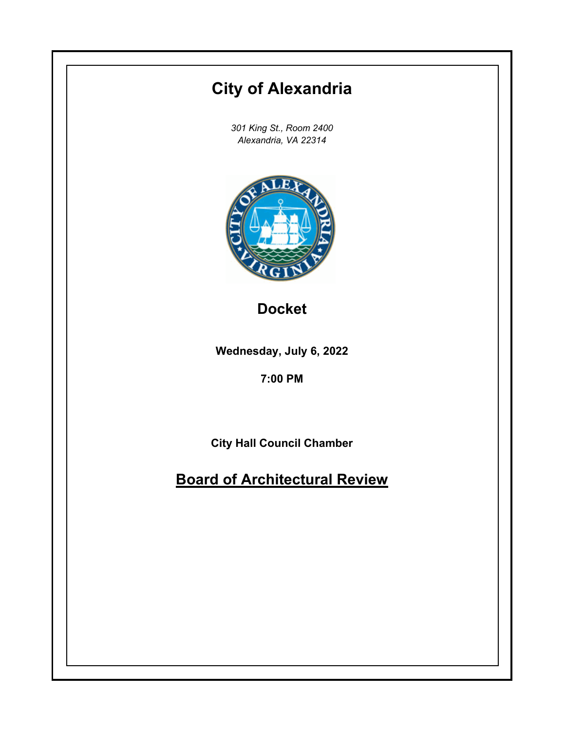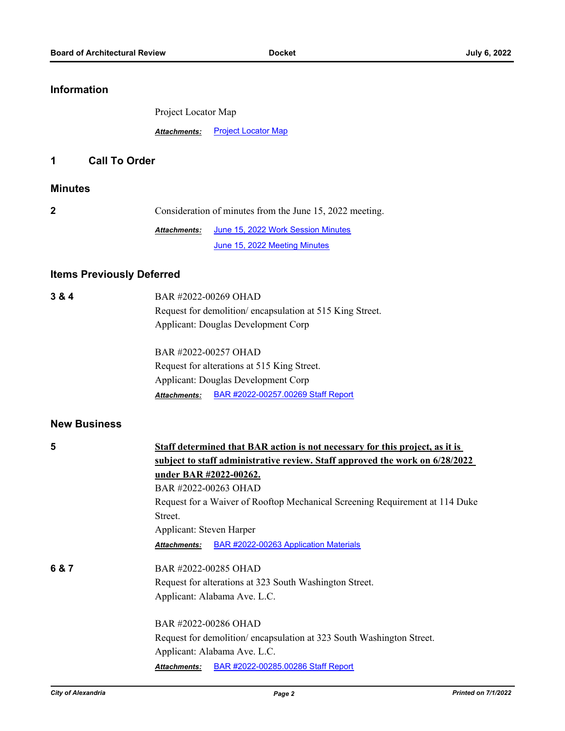# **Information**

Project Locator Map

**Attachments:** [Project Locator Map](http://alexandria.legistar.com/gateway.aspx?M=F&ID=c11a5083-c774-4452-b787-81eb84039866.pdf)

## **1 Call To Order**

#### **Minutes**

**2** Consideration of minutes from the June 15, 2022 meeting. [June 15, 2022 Work Session Minutes](http://alexandria.legistar.com/gateway.aspx?M=F&ID=5e3f8765-6e9b-4096-8875-1b5202a117a1.pdf) [June 15, 2022 Meeting Minutes](http://alexandria.legistar.com/gateway.aspx?M=F&ID=6a57d6e7-5b01-43fb-8367-8f8bbda63506.pdf) *Attachments:*

# **Items Previously Deferred**

| 3 & 4               | BAR #2022-00269 OHAD                                                         |
|---------------------|------------------------------------------------------------------------------|
|                     | Request for demolition/encapsulation at 515 King Street.                     |
|                     | <b>Applicant: Douglas Development Corp</b>                                   |
|                     | BAR #2022-00257 OHAD                                                         |
|                     | Request for alterations at 515 King Street.                                  |
|                     | <b>Applicant: Douglas Development Corp</b>                                   |
|                     | BAR #2022-00257.00269 Staff Report<br><b>Attachments:</b>                    |
| <b>New Business</b> |                                                                              |
| 5                   | Staff determined that BAR action is not necessary for this project, as it is |
|                     | subject to staff administrative review. Staff approved the work on 6/28/2022 |
|                     | under BAR #2022-00262.                                                       |
|                     | BAR #2022-00263 OHAD                                                         |
|                     | Request for a Waiver of Rooftop Mechanical Screening Requirement at 114 Duke |
|                     | Street.                                                                      |
|                     | Applicant: Steven Harper                                                     |
|                     | BAR #2022-00263 Application Materials<br>Attachments:                        |
| 6 & 7               | BAR #2022-00285 OHAD                                                         |
|                     | Request for alterations at 323 South Washington Street.                      |
|                     | Applicant: Alabama Ave. L.C.                                                 |
|                     | BAR #2022-00286 OHAD                                                         |
|                     | Request for demolition/encapsulation at 323 South Washington Street.         |
|                     | Applicant: Alabama Ave. L.C.                                                 |
|                     | BAR #2022-00285.00286 Staff Report<br><b>Attachments:</b>                    |
|                     |                                                                              |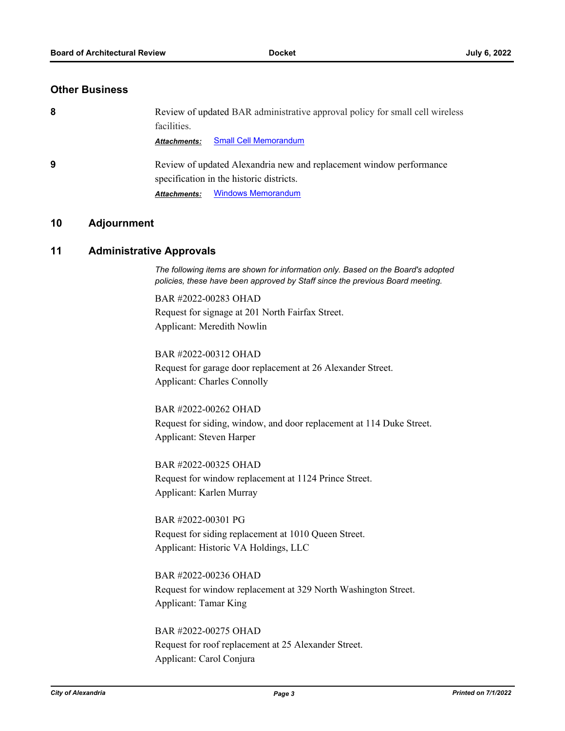### **Other Business**

| 8 | Review of updated BAR administrative approval policy for small cell wireless                                    |
|---|-----------------------------------------------------------------------------------------------------------------|
|   | facilities.                                                                                                     |
|   | <b>Small Cell Memorandum</b><br><b>Attachments:</b>                                                             |
| 9 | Review of updated Alexandria new and replacement window performance<br>specification in the historic districts. |
|   | <b>Windows Memorandum</b><br>Attachments:                                                                       |

#### **10 Adjournment**

#### **11 Administrative Approvals**

*The following items are shown for information only. Based on the Board's adopted policies, these have been approved by Staff since the previous Board meeting.*

BAR #2022-00283 OHAD Request for signage at 201 North Fairfax Street. Applicant: Meredith Nowlin

BAR #2022-00312 OHAD Request for garage door replacement at 26 Alexander Street. Applicant: Charles Connolly

BAR #2022-00262 OHAD Request for siding, window, and door replacement at 114 Duke Street. Applicant: Steven Harper

BAR #2022-00325 OHAD Request for window replacement at 1124 Prince Street. Applicant: Karlen Murray

BAR #2022-00301 PG Request for siding replacement at 1010 Queen Street. Applicant: Historic VA Holdings, LLC

BAR #2022-00236 OHAD Request for window replacement at 329 North Washington Street. Applicant: Tamar King

BAR #2022-00275 OHAD Request for roof replacement at 25 Alexander Street. Applicant: Carol Conjura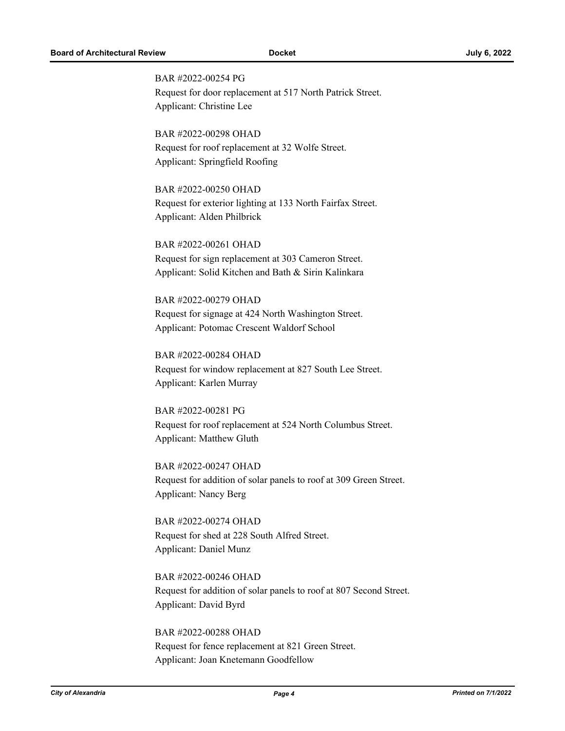BAR #2022-00254 PG Request for door replacement at 517 North Patrick Street. Applicant: Christine Lee

BAR #2022-00298 OHAD Request for roof replacement at 32 Wolfe Street. Applicant: Springfield Roofing

BAR #2022-00250 OHAD Request for exterior lighting at 133 North Fairfax Street. Applicant: Alden Philbrick

BAR #2022-00261 OHAD Request for sign replacement at 303 Cameron Street. Applicant: Solid Kitchen and Bath & Sirin Kalinkara

BAR #2022-00279 OHAD Request for signage at 424 North Washington Street. Applicant: Potomac Crescent Waldorf School

BAR #2022-00284 OHAD Request for window replacement at 827 South Lee Street. Applicant: Karlen Murray

BAR #2022-00281 PG Request for roof replacement at 524 North Columbus Street. Applicant: Matthew Gluth

BAR #2022-00247 OHAD Request for addition of solar panels to roof at 309 Green Street. Applicant: Nancy Berg

BAR #2022-00274 OHAD Request for shed at 228 South Alfred Street. Applicant: Daniel Munz

BAR #2022-00246 OHAD Request for addition of solar panels to roof at 807 Second Street. Applicant: David Byrd

BAR #2022-00288 OHAD Request for fence replacement at 821 Green Street. Applicant: Joan Knetemann Goodfellow